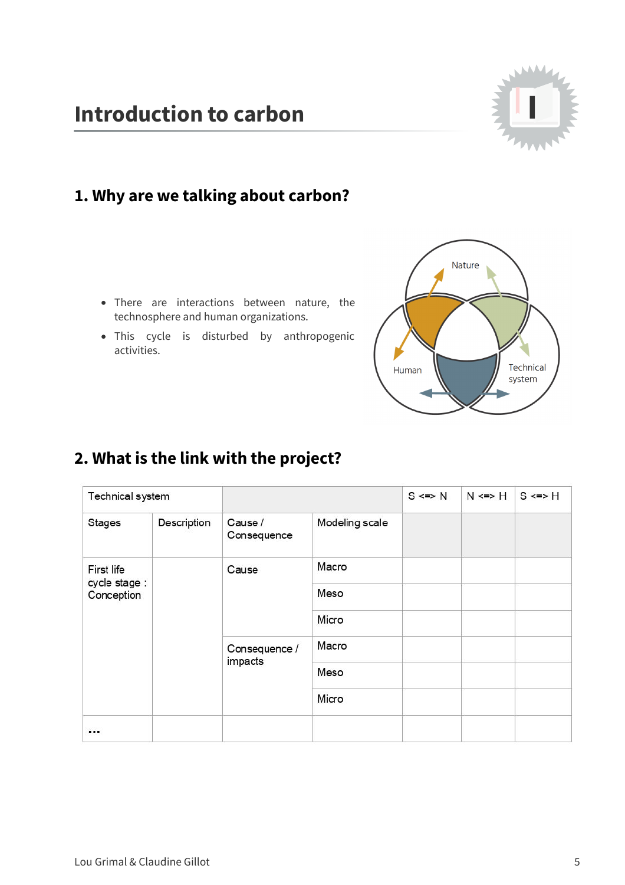

#### **1. Why are we talking about carbon?**

- There are interactions between nature, the technosphere and human organizations.
- This cycle is disturbed by anthropogenic activities.



# **2. What is the link with the project?**

| Technical system                          |             |                                   |                | $S \leq N$ | $N \leq > H$ | $S \leq > H$ |
|-------------------------------------------|-------------|-----------------------------------|----------------|------------|--------------|--------------|
| <b>Stages</b>                             | Description | Cause /<br>Consequence            | Modeling scale |            |              |              |
| First life<br>cycle stage :<br>Conception |             | Cause<br>Consequence /<br>impacts | Macro          |            |              |              |
|                                           |             |                                   | Meso           |            |              |              |
|                                           |             |                                   | Micro          |            |              |              |
|                                           |             |                                   | Macro          |            |              |              |
|                                           |             |                                   | Meso           |            |              |              |
|                                           |             |                                   | Micro          |            |              |              |
| 111                                       |             |                                   |                |            |              |              |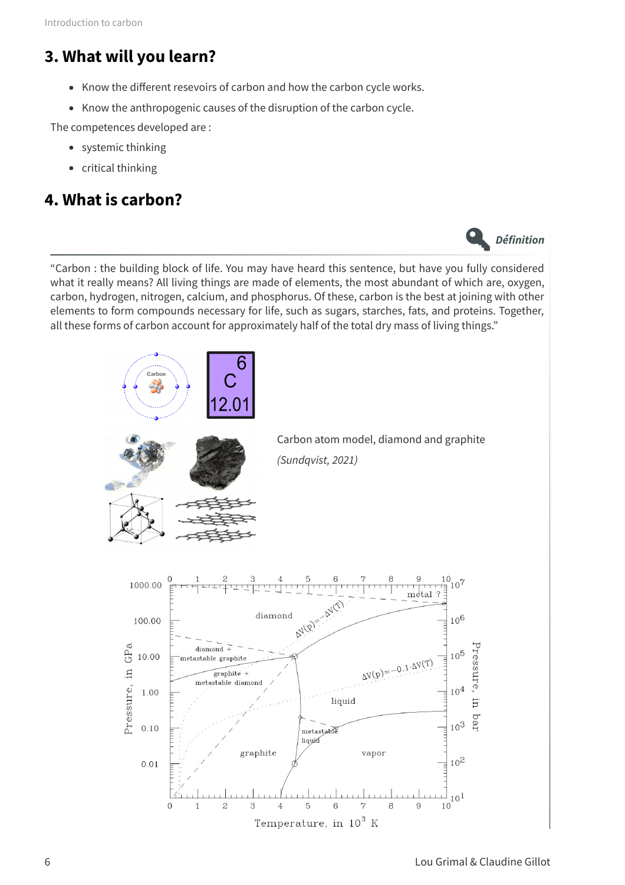## **3. What will you learn?**

- Know the different resevoirs of carbon and how the carbon cycle works.
- Know the anthropogenic causes of the disruption of the carbon cycle.

The competences developed are :

- systemic thinking
- critical thinking

#### **4. What is carbon?**

**Définition**

"Carbon : the building block of life. You may have heard this sentence, but have you fully considered what it really means? All living things are made of elements, the most abundant of which are, oxygen, carbon, hydrogen, nitrogen, calcium, and phosphorus. Of these, carbon is the best at joining with other elements to form compounds necessary for life, such as sugars, starches, fats, and proteins. Together, all these forms of carbon account for approximately half of the total dry mass of living things."